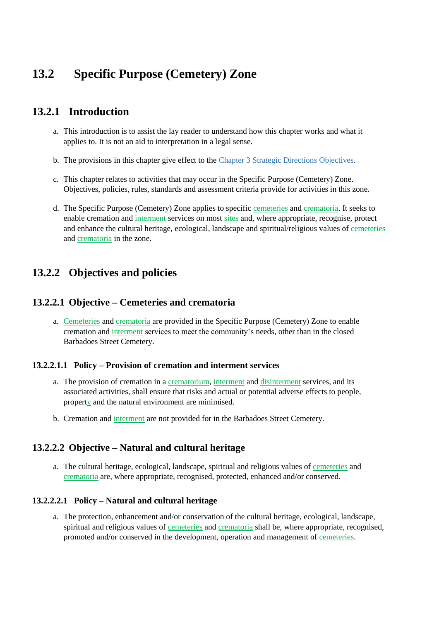# **13.2 Specific Purpose (Cemetery) Zone**

## **13.2.1 Introduction**

- a. This introduction is to assist the lay reader to understand how this chapter works and what it applies to. It is not an aid to interpretation in a legal sense.
- b. The provisions in this chapter give effect to the Chapter 3 Strategic Directions Objectives.
- c. This chapter relates to activities that may occur in the Specific Purpose (Cemetery) Zone. Objectives, policies, rules, standards and assessment criteria provide for activities in this zone.
- d. The Specific Purpose (Cemetery) Zone applies to specific cemeteries and crematoria. It seeks to enable cremation and interment services on most sites and, where appropriate, recognise, protect and enhance the cultural heritage, ecological, landscape and spiritual/religious values of cemeteries and crematoria in the zone.

## **13.2.2 Objectives and policies**

#### **13.2.2.1 Objective – Cemeteries and crematoria**

a. Cemeteries and crematoria are provided in the Specific Purpose (Cemetery) Zone to enable cremation and interment services to meet the community's needs, other than in the closed Barbadoes Street Cemetery.

#### **13.2.2.1.1 Policy – Provision of cremation and interment services**

- a. The provision of cremation in a crematorium, interment and disinterment services, and its associated activities, shall ensure that risks and actual or potential adverse effects to people, property and the natural environment are minimised.
- b. Cremation and interment are not provided for in the Barbadoes Street Cemetery.

## **13.2.2.2 Objective – Natural and cultural heritage**

a. The cultural heritage, ecological, landscape, spiritual and religious values of cemeteries and crematoria are, where appropriate, recognised, protected, enhanced and/or conserved.

#### **13.2.2.2.1 Policy – Natural and cultural heritage**

a. The protection, enhancement and/or conservation of the cultural heritage, ecological, landscape, spiritual and religious values of <u>cemeteries</u> and crematoria shall be, where appropriate, recognised, promoted and/or conserved in the development, operation and management of cemeteries.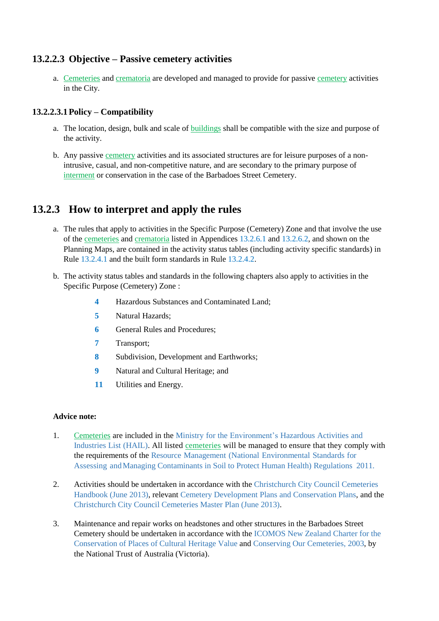## **13.2.2.3 Objective – Passive cemetery activities**

a. Cemeteries and crematoria are developed and managed to provide for passive cemetery activities in the City.

#### **13.2.2.3.1Policy – Compatibility**

- a. The location, design, bulk and scale of buildings shall be compatible with the size and purpose of the activity.
- b. Any passive cemetery activities and its associated structures are for leisure purposes of a nonintrusive, casual, and non-competitive nature, and are secondary to the primary purpose of interment or conservation in the case of the Barbadoes Street Cemetery.

## **13.2.3 How to interpret and apply the rules**

- a. The rules that apply to activities in the Specific Purpose (Cemetery) Zone and that involve the use of the cemeteries and crematoria listed in Appendices 13.2.6.1 and 13.2.6.2, and shown on the Planning Maps, are contained in the activity status tables (including activity specific standards) in Rule 13.2.4.1 and the built form standards in Rule 13.2.4.2.
- b. The activity status tables and standards in the following chapters also apply to activities in the Specific Purpose (Cemetery) Zone :
	- **4** Hazardous Substances and Contaminated Land;
	- **5** Natural Hazards;
	- **6** General Rules and Procedures;
	- **7** Transport;
	- **8** Subdivision, Development and Earthworks;
	- **9** Natural and Cultural Heritage; and
	- **11** Utilities and Energy.

#### **Advice note:**

- 1. Cemeteries are included in the Ministry for the Environment's Hazardous Activities and Industries List (HAIL). All listed cemeteries will be managed to ensure that they comply with the requirements of the Resource Management (National Environmental Standards for Assessing andManaging Contaminants in Soil to Protect Human Health) Regulations 2011.
- 2. Activities should be undertaken in accordance with the Christchurch City Council Cemeteries Handbook (June 2013), relevant Cemetery Development Plans and Conservation Plans, and the Christchurch City Council Cemeteries Master Plan (June 2013).
- 3. Maintenance and repair works on headstones and other structures in the Barbadoes Street Cemetery should be undertaken in accordance with the ICOMOS New Zealand Charter for the Conservation of Places of Cultural Heritage Value and Conserving Our Cemeteries, 2003, by the National Trust of Australia (Victoria).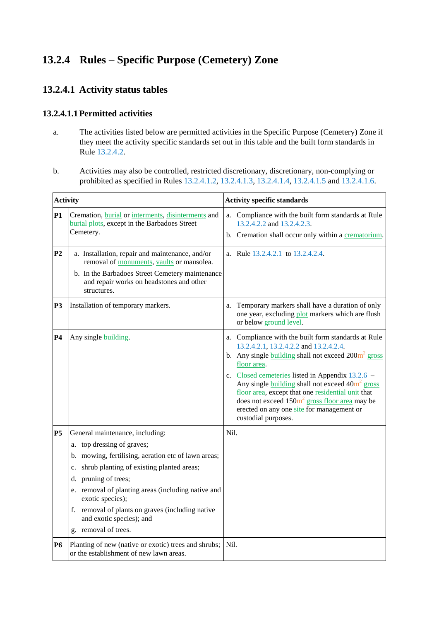# **13.2.4 Rules – Specific Purpose (Cemetery) Zone**

## **13.2.4.1 Activity status tables**

#### **13.2.4.1.1Permitted activities**

- a. The activities listed below are permitted activities in the Specific Purpose (Cemetery) Zone if they meet the activity specific standards set out in this table and the built form standards in Rule 13.2.4.2.
- b. Activities may also be controlled, restricted discretionary, discretionary, non-complying or prohibited as specified in Rules 13.2.4.1.2, 13.2.4.1.3, 13.2.4.1.4, 13.2.4.1.5 and 13.2.4.1.6.

| <b>Activity</b> |                                                                                                                                                                                                                                                                                                                                                                                      | <b>Activity specific standards</b>                                                                                                                                                                                                                                                                                                                                                                                                                               |  |  |
|-----------------|--------------------------------------------------------------------------------------------------------------------------------------------------------------------------------------------------------------------------------------------------------------------------------------------------------------------------------------------------------------------------------------|------------------------------------------------------------------------------------------------------------------------------------------------------------------------------------------------------------------------------------------------------------------------------------------------------------------------------------------------------------------------------------------------------------------------------------------------------------------|--|--|
| <b>P1</b>       | Cremation, burial or interments, disinterments and<br>burial plots, except in the Barbadoes Street<br>Cemetery.                                                                                                                                                                                                                                                                      | Compliance with the built form standards at Rule<br>a.<br>13.2.4.2.2 and 13.2.4.2.3.<br>b. Cremation shall occur only within a crematorium.                                                                                                                                                                                                                                                                                                                      |  |  |
| P <sub>2</sub>  | a. Installation, repair and maintenance, and/or<br>removal of monuments, vaults or mausolea.<br>b. In the Barbadoes Street Cemetery maintenance<br>and repair works on headstones and other<br>structures.                                                                                                                                                                           | a. Rule 13.2.4.2.1 to 13.2.4.2.4.                                                                                                                                                                                                                                                                                                                                                                                                                                |  |  |
| P3              | Installation of temporary markers.                                                                                                                                                                                                                                                                                                                                                   | Temporary markers shall have a duration of only<br>a.<br>one year, excluding plot markers which are flush<br>or below ground level.                                                                                                                                                                                                                                                                                                                              |  |  |
| P4              | Any single building.                                                                                                                                                                                                                                                                                                                                                                 | a. Compliance with the built form standards at Rule<br>13.2.4.2.1, 13.2.4.2.2 and 13.2.4.2.4.<br>b. Any single building shall not exceed $200m^2$ gross<br>floor area.<br>c. Closed cemeteries listed in Appendix $13.2.6$ –<br>Any single $buiding$ shall not exceed $40m^2$ gross<br>floor area, except that one residential unit that<br>does not exceed $150m^2$ gross floor area may be<br>erected on any one site for management or<br>custodial purposes. |  |  |
| P5              | General maintenance, including:<br>a. top dressing of graves;<br>b. mowing, fertilising, aeration etc of lawn areas;<br>shrub planting of existing planted areas;<br>c.<br>pruning of trees;<br>d.<br>e. removal of planting areas (including native and<br>exotic species);<br>f. removal of plants on graves (including native<br>and exotic species); and<br>g. removal of trees. | Nil.                                                                                                                                                                                                                                                                                                                                                                                                                                                             |  |  |
| <b>P6</b>       | Planting of new (native or exotic) trees and shrubs;<br>or the establishment of new lawn areas.                                                                                                                                                                                                                                                                                      | Nil.                                                                                                                                                                                                                                                                                                                                                                                                                                                             |  |  |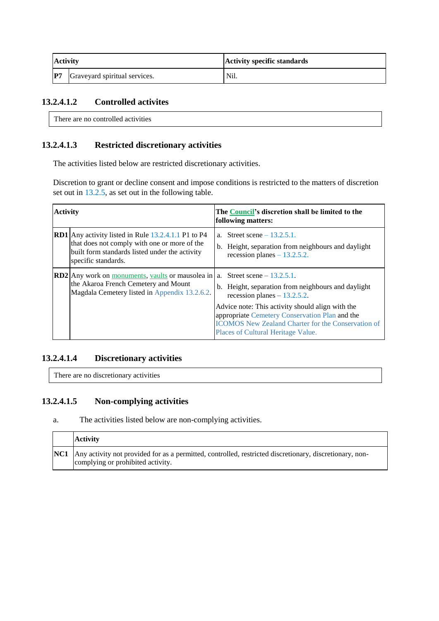| <b>Activity</b> |                               | <b>Activity specific standards</b> |  |
|-----------------|-------------------------------|------------------------------------|--|
| P7              | Graveyard spiritual services. | Nil.                               |  |

#### **13.2.4.1.2 Controlled activites**

There are no controlled activities

#### **13.2.4.1.3 Restricted discretionary activities**

The activities listed below are restricted discretionary activities.

Discretion to grant or decline consent and impose conditions is restricted to the matters of discretion set out in 13.2.5, as set out in the following table.

| <b>Activity</b> |                                                                                                                                                                                     | The Council's discretion shall be limited to the<br>following matters: |                                                                                                                                                                                            |  |
|-----------------|-------------------------------------------------------------------------------------------------------------------------------------------------------------------------------------|------------------------------------------------------------------------|--------------------------------------------------------------------------------------------------------------------------------------------------------------------------------------------|--|
|                 | <b>RD1</b> Any activity listed in Rule 13.2.4.1.1 P1 to P4<br>that does not comply with one or more of the<br>built form standards listed under the activity<br>specific standards. |                                                                        | a. Street scene $-13.2.5.1$ .<br>b. Height, separation from neighbours and daylight<br>recession planes $-13.2.5.2$ .                                                                      |  |
|                 | <b>RD2</b> Any work on monuments, vaults or mausolea in $ a $ . Street scene – 13.2.5.1.<br>the Akaroa French Cemetery and Mount<br>Magdala Cemetery listed in Appendix 13.2.6.2.   |                                                                        | b. Height, separation from neighbours and daylight<br>recession planes $-13.2.5.2$ .<br>Advice note: This activity should align with the<br>appropriate Cemetery Conservation Plan and the |  |
|                 |                                                                                                                                                                                     |                                                                        | <b>ICOMOS New Zealand Charter for the Conservation of</b><br>Places of Cultural Heritage Value.                                                                                            |  |

#### **13.2.4.1.4 Discretionary activities**

There are no discretionary activities

#### **13.2.4.1.5 Non-complying activities**

a. The activities listed below are non-complying activities.

| <b>Activity</b>                                                                                                                                         |
|---------------------------------------------------------------------------------------------------------------------------------------------------------|
| <b>NC1</b> Any activity not provided for as a permitted, controlled, restricted discretionary, discretionary, non-<br>complying or prohibited activity. |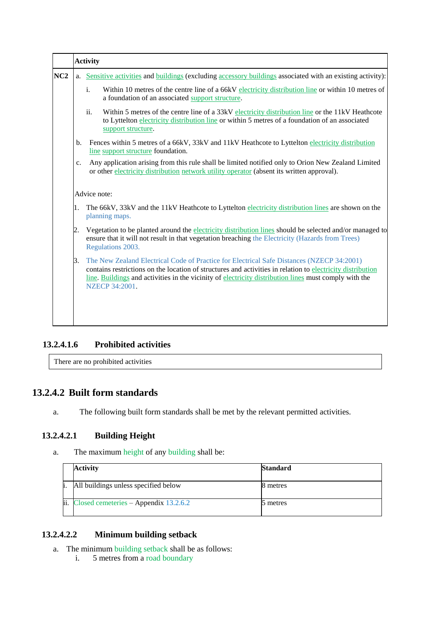|     |    | <b>Activity</b>                                                                                                                                                                                                                                                                                                                           |
|-----|----|-------------------------------------------------------------------------------------------------------------------------------------------------------------------------------------------------------------------------------------------------------------------------------------------------------------------------------------------|
| NC2 |    | a. Sensitive activities and buildings (excluding accessory buildings associated with an existing activity):                                                                                                                                                                                                                               |
|     |    | Within 10 metres of the centre line of a 66kV electricity distribution line or within 10 metres of<br>i.<br>a foundation of an associated support structure.                                                                                                                                                                              |
|     |    | ii.<br>Within 5 metres of the centre line of a 33kV electricity distribution line or the 11kV Heathcote<br>to Lyttelton electricity distribution line or within 5 metres of a foundation of an associated<br>support structure.                                                                                                           |
|     | b. | Fences within 5 metres of a 66kV, 33kV and 11kV Heathcote to Lyttelton electricity distribution<br>line support structure foundation.                                                                                                                                                                                                     |
|     | c. | Any application arising from this rule shall be limited notified only to Orion New Zealand Limited<br>or other electricity distribution network utility operator (absent its written approval).                                                                                                                                           |
|     |    | Advice note:                                                                                                                                                                                                                                                                                                                              |
|     | 1. | The 66kV, 33kV and the 11kV Heathcote to Lyttelton electricity distribution lines are shown on the<br>planning maps.                                                                                                                                                                                                                      |
|     | 2. | Vegetation to be planted around the electricity distribution lines should be selected and/or managed to<br>ensure that it will not result in that vegetation breaching the Electricity (Hazards from Trees)<br>Regulations 2003.                                                                                                          |
|     | 3. | The New Zealand Electrical Code of Practice for Electrical Safe Distances (NZECP 34:2001)<br>contains restrictions on the location of structures and activities in relation to electricity distribution<br>line. Buildings and activities in the vicinity of electricity distribution lines must comply with the<br><b>NZECP 34:2001.</b> |
|     |    |                                                                                                                                                                                                                                                                                                                                           |
|     |    |                                                                                                                                                                                                                                                                                                                                           |

## **13.2.4.1.6 Prohibited activities**

There are no prohibited activities

## **13.2.4.2 Built form standards**

a. The following built form standards shall be met by the relevant permitted activities.

## **13.2.4.2.1 Building Height**

a. The maximum height of any building shall be:

|      | <b>Activity</b>                                         | <b>Standard</b> |
|------|---------------------------------------------------------|-----------------|
| h.   | All buildings unless specified below                    | 8 metres        |
| lii. | $\text{Closed cemerieries} - \text{Appendix } 13.2.6.2$ | 5 metres        |

#### **13.2.4.2.2 Minimum building setback**

- a. The minimum building setback shall be as follows:
	- i. 5 metres from a road boundary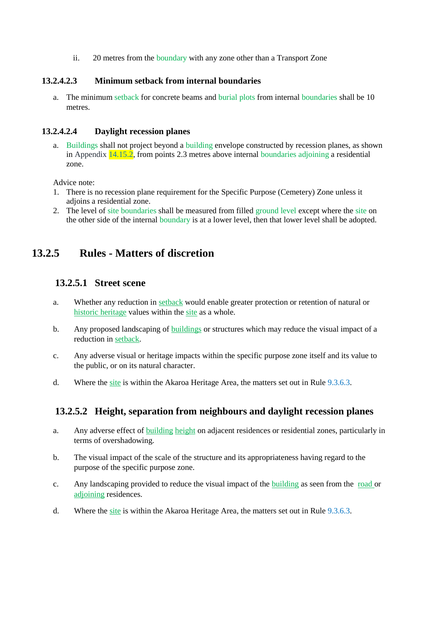ii. 20 metres from the boundary with any zone other than a Transport Zone

#### **13.2.4.2.3 Minimum setback from internal boundaries**

a. The minimum setback for concrete beams and burial plots from internal boundaries shall be 10 metres.

#### **13.2.4.2.4 Daylight recession planes**

a. Buildings shall not project beyond a building envelope constructed by recession planes, as shown in Appendix  $14.15.2$ , from points 2.3 metres above internal boundaries adjoining a residential zone.

Advice note:

- 1. There is no recession plane requirement for the Specific Purpose (Cemetery) Zone unless it adjoins a residential zone.
- 2. The level of site boundaries shall be measured from filled ground level except where the site on the other side of the internal boundary is at a lower level, then that lower level shall be adopted.

## **13.2.5 Rules - Matters of discretion**

#### **13.2.5.1 Street scene**

- a. Whether any reduction in setback would enable greater protection or retention of natural or historic heritage values within the site as a whole.
- b. Any proposed landscaping of buildings or structures which may reduce the visual impact of a reduction in setback.
- c. Any adverse visual or heritage impacts within the specific purpose zone itself and its value to the public, or on its natural character.
- d. Where the site is within the Akaroa Heritage Area, the matters set out in Rule 9.3.6.3.

## **13.2.5.2 Height, separation from neighbours and daylight recession planes**

- a. Any adverse effect of building height on adjacent residences or residential zones, particularly in terms of overshadowing.
- b. The visual impact of the scale of the structure and its appropriateness having regard to the purpose of the specific purpose zone.
- c. Any landscaping provided to reduce the visual impact of the building as seen from the road or adjoining residences.
- d. Where the site is within the Akaroa Heritage Area, the matters set out in Rule 9.3.6.3.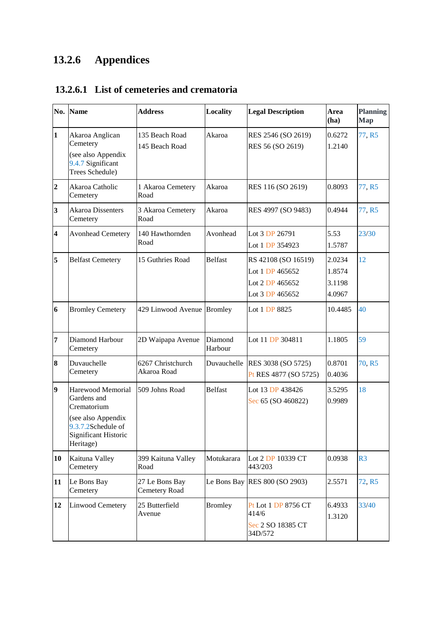# **13.2.6 Appendices**

|  |  |  |  | 13.2.6.1 List of cemeteries and crematoria |
|--|--|--|--|--------------------------------------------|
|--|--|--|--|--------------------------------------------|

| No.                     | <b>Name</b>                                                                                                                      | <b>Address</b>                   | <b>Locality</b>    | <b>Legal Description</b>                                                     | Area<br>(ha)                         | <b>Planning</b><br><b>Map</b> |
|-------------------------|----------------------------------------------------------------------------------------------------------------------------------|----------------------------------|--------------------|------------------------------------------------------------------------------|--------------------------------------|-------------------------------|
| $\mathbf{1}$            | Akaroa Anglican<br>Cemetery<br>(see also Appendix<br>9.4.7 Significant<br>Trees Schedule)                                        | 135 Beach Road<br>145 Beach Road | Akaroa             | RES 2546 (SO 2619)<br>RES 56 (SO 2619)                                       | 0.6272<br>1.2140                     | 77, R5                        |
| $\overline{2}$          | Akaroa Catholic<br>Cemetery                                                                                                      | 1 Akaroa Cemetery<br>Road        | Akaroa             | RES 116 (SO 2619)                                                            | 0.8093                               | 77, R5                        |
| 3                       | <b>Akaroa Dissenters</b><br>Cemetery                                                                                             | 3 Akaroa Cemetery<br>Road        | Akaroa             | RES 4997 (SO 9483)                                                           | 0.4944                               | 77, R5                        |
| $\overline{\mathbf{4}}$ | <b>Avonhead Cemetery</b>                                                                                                         | 140 Hawthornden<br>Road          | Avonhead           | Lot 3 DP 26791<br>Lot 1 DP 354923                                            | 5.53<br>1.5787                       | 23/30                         |
| 5                       | <b>Belfast Cemetery</b>                                                                                                          | 15 Guthries Road                 | <b>Belfast</b>     | RS 42108 (SO 16519)<br>Lot 1 DP 465652<br>Lot 2 DP 465652<br>Lot 3 DP 465652 | 2.0234<br>1.8574<br>3.1198<br>4.0967 | 12                            |
| 6                       | <b>Bromley Cemetery</b>                                                                                                          | 429 Linwood Avenue Bromley       |                    | Lot 1 DP 8825                                                                | 10.4485                              | 40                            |
| $\overline{7}$          | Diamond Harbour<br>Cemetery                                                                                                      | 2D Waipapa Avenue                | Diamond<br>Harbour | Lot 11 DP 304811                                                             | 1.1805                               | 59                            |
| 8                       | Duvauchelle<br>Cemetery                                                                                                          | 6267 Christchurch<br>Akaroa Road | Duvauchelle        | RES 3038 (SO 5725)<br>Pt RES 4877 (SO 5725)                                  | 0.8701<br>0.4036                     | 70, R5                        |
| $\overline{9}$          | Harewood Memorial<br>Gardens and<br>Crematorium<br>(see also Appendix<br>9.3.7.2Schedule of<br>Significant Historic<br>Heritage) | 509 Johns Road                   | <b>Belfast</b>     | Lot 13 DP 438426<br>Sec 65 (SO 460822)                                       | 3.5295<br>0.9989                     | 18                            |
| 10                      | Kaituna Valley<br>Cemetery                                                                                                       | 399 Kaituna Valley<br>Road       | Motukarara         | Lot 2 DP 10339 CT<br>443/203                                                 | 0.0938                               | R <sub>3</sub>                |
| 11                      | Le Bons Bay<br>Cemetery                                                                                                          | 27 Le Bons Bay<br>Cemetery Road  |                    | Le Bons Bay RES $800$ (SO 2903)                                              | 2.5571                               | 72, R5                        |
| 12                      | Linwood Cemetery                                                                                                                 | 25 Butterfield<br>Avenue         | <b>Bromley</b>     | Pt Lot 1 DP 8756 CT<br>414/6<br>Sec 2 SO 18385 CT<br>34D/572                 | 6.4933<br>1.3120                     | 33/40                         |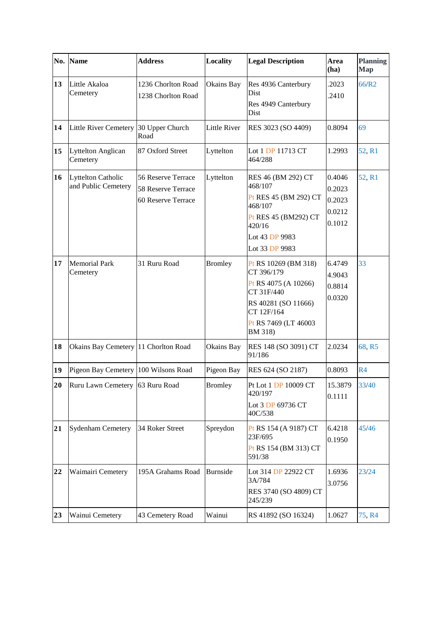|    | No. Name                                         | <b>Address</b>                                                 | <b>Locality</b>     | <b>Legal Description</b>                                                                                                                         | Area<br>(ha)                                   | <b>Planning</b><br><b>Map</b> |
|----|--------------------------------------------------|----------------------------------------------------------------|---------------------|--------------------------------------------------------------------------------------------------------------------------------------------------|------------------------------------------------|-------------------------------|
| 13 | Little Akaloa<br>Cemetery                        | 1236 Chorlton Road<br>1238 Chorlton Road                       | Okains Bay          | Res 4936 Canterbury<br>Dist<br>Res 4949 Canterbury<br>Dist                                                                                       | .2023<br>.2410                                 | 66/R2                         |
| 14 | Little River Cemetery 30 Upper Church            | Road                                                           | <b>Little River</b> | RES 3023 (SO 4409)                                                                                                                               | 0.8094                                         | 69                            |
| 15 | <b>Lyttelton Anglican</b><br>Cemetery            | 87 Oxford Street                                               | Lyttelton           | Lot 1 DP 11713 CT<br>464/288                                                                                                                     | 1.2993                                         | 52, R1                        |
| 16 | <b>Lyttelton Catholic</b><br>and Public Cemetery | 56 Reserve Terrace<br>58 Reserve Terrace<br>60 Reserve Terrace | Lyttelton           | RES 46 (BM 292) CT<br>468/107<br>Pt RES 45 (BM 292) CT<br>468/107<br>Pt RES 45 (BM292) CT<br>420/16<br>Lot 43 DP 9983<br>Lot 33 DP 9983          | 0.4046<br>0.2023<br>0.2023<br>0.0212<br>0.1012 | 52, R1                        |
| 17 | <b>Memorial Park</b><br>Cemetery                 | 31 Ruru Road                                                   | <b>Bromley</b>      | Pt RS 10269 (BM 318)<br>CT 396/179<br>Pt RS 4075 (A 10266)<br>CT 31F/440<br>RS 40281 (SO 11666)<br>CT 12F/164<br>Pt RS 7469 (LT 46003<br>BM 318) | 6.4749<br>4.9043<br>0.8814<br>0.0320           | 33                            |
| 18 | Okains Bay Cemetery 11 Chorlton Road             |                                                                | Okains Bay          | RES 148 (SO 3091) CT<br>91/186                                                                                                                   | 2.0234                                         | 68, R5                        |
| 19 | Pigeon Bay Cemetery 100 Wilsons Road             |                                                                | Pigeon Bay          | RES 624 (SO 2187)                                                                                                                                | 0.8093                                         | R <sub>4</sub>                |
| 20 | Ruru Lawn Cemetery 63 Ruru Road                  |                                                                | <b>Bromley</b>      | Pt Lot 1 DP 10009 CT<br>420/197<br>Lot 3 DP 69736 CT<br>40C/538                                                                                  | 15.3879<br>0.1111                              | 33/40                         |
| 21 | <b>Sydenham Cemetery</b>                         | 34 Roker Street                                                | Spreydon            | Pt RS 154 (A 9187) CT<br>23F/695<br>Pt RS 154 (BM 313) CT<br>591/38                                                                              | 6.4218<br>0.1950                               | 45/46                         |
| 22 | Waimairi Cemetery                                | 195A Grahams Road                                              | <b>Burnside</b>     | Lot 314 DP 22922 CT<br>3A/784<br>RES 3740 (SO 4809) CT<br>245/239                                                                                | 1.6936<br>3.0756                               | 23/24                         |
| 23 | Wainui Cemetery                                  | 43 Cemetery Road                                               | Wainui              | RS 41892 (SO 16324)                                                                                                                              | 1.0627                                         | 75, R4                        |